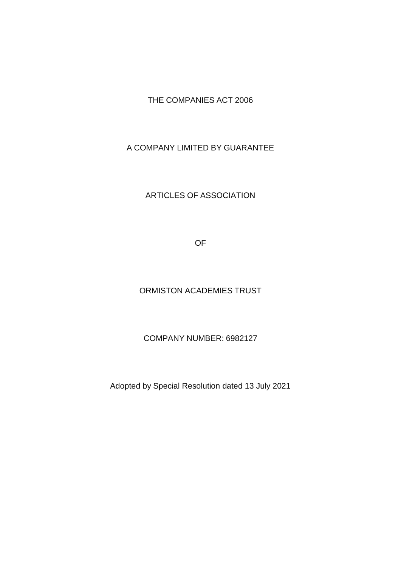# THE COMPANIES ACT 2006

# A COMPANY LIMITED BY GUARANTEE

### ARTICLES OF ASSOCIATION

OF

#### ORMISTON ACADEMIES TRUST

### COMPANY NUMBER: 6982127

Adopted by Special Resolution dated 13 July 2021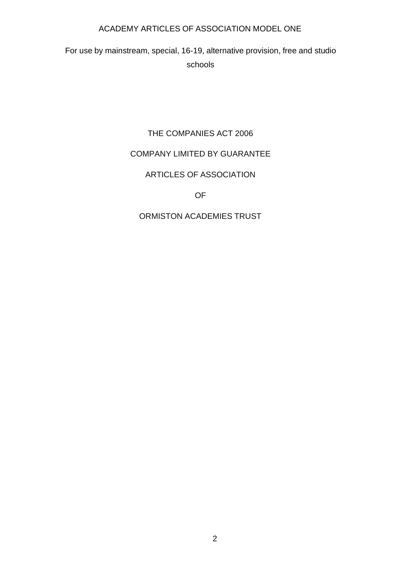For use by mainstream, special, 16-19, alternative provision, free and studio schools

# THE COMPANIES ACT 2006

# COMPANY LIMITED BY GUARANTEE

# ARTICLES OF ASSOCIATION

# OF

# ORMISTON ACADEMIES TRUST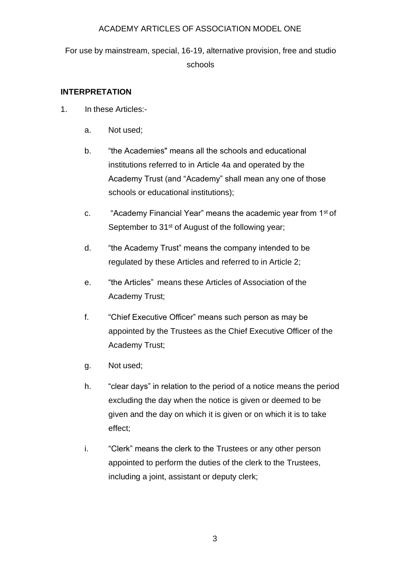For use by mainstream, special, 16-19, alternative provision, free and studio schools

# **INTERPRETATION**

- 1. In these Articles:
	- a. Not used;
	- b. "the Academies" means all the schools and educational institutions referred to in Article 4a and operated by the Academy Trust (and "Academy" shall mean any one of those schools or educational institutions);
	- c. "Academy Financial Year" means the academic year from 1st of September to 31<sup>st</sup> of August of the following year;
	- d. "the Academy Trust" means the company intended to be regulated by these Articles and referred to in Article 2;
	- e. "the Articles" means these Articles of Association of the Academy Trust;
	- f. "Chief Executive Officer" means such person as may be appointed by the Trustees as the Chief Executive Officer of the Academy Trust;
	- g. Not used;
	- h. "clear days" in relation to the period of a notice means the period excluding the day when the notice is given or deemed to be given and the day on which it is given or on which it is to take effect;
	- i. "Clerk" means the clerk to the Trustees or any other person appointed to perform the duties of the clerk to the Trustees, including a joint, assistant or deputy clerk;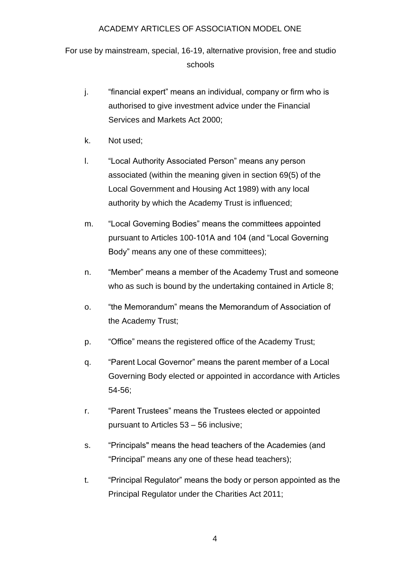For use by mainstream, special, 16-19, alternative provision, free and studio schools

- j. "financial expert" means an individual, company or firm who is authorised to give investment advice under the Financial Services and Markets Act 2000;
- k. Not used;
- l. "Local Authority Associated Person" means any person associated (within the meaning given in section 69(5) of the Local Government and Housing Act 1989) with any local authority by which the Academy Trust is influenced;
- m. "Local Governing Bodies" means the committees appointed pursuant to Articles 100-101A and 104 (and "Local Governing Body" means any one of these committees);
- n. "Member" means a member of the Academy Trust and someone who as such is bound by the undertaking contained in Article 8;
- o. "the Memorandum" means the Memorandum of Association of the Academy Trust;
- p. "Office" means the registered office of the Academy Trust;
- q. "Parent Local Governor" means the parent member of a Local Governing Body elected or appointed in accordance with Articles 54-56;
- r. "Parent Trustees" means the Trustees elected or appointed pursuant to Articles 53 – 56 inclusive;
- s. "Principals" means the head teachers of the Academies (and "Principal" means any one of these head teachers);
- t. "Principal Regulator" means the body or person appointed as the Principal Regulator under the Charities Act 2011;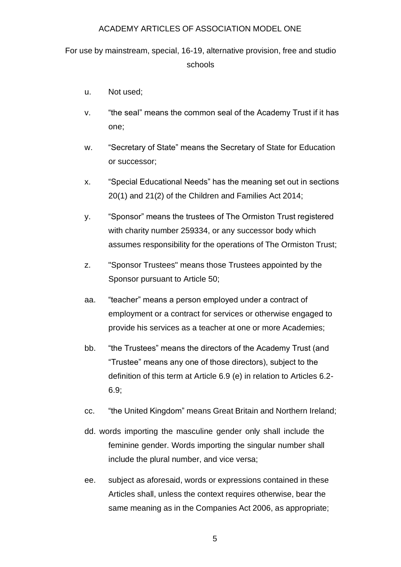For use by mainstream, special, 16-19, alternative provision, free and studio schools

- u. Not used;
- v. "the seal" means the common seal of the Academy Trust if it has one;
- w. "Secretary of State" means the Secretary of State for Education or successor;
- x. "Special Educational Needs" has the meaning set out in sections 20(1) and 21(2) of the Children and Families Act 2014;
- y. "Sponsor" means the trustees of The Ormiston Trust registered with charity number 259334, or any successor body which assumes responsibility for the operations of The Ormiston Trust;
- z. "Sponsor Trustees" means those Trustees appointed by the Sponsor pursuant to Article 50;
- aa. "teacher" means a person employed under a contract of employment or a contract for services or otherwise engaged to provide his services as a teacher at one or more Academies;
- bb. "the Trustees" means the directors of the Academy Trust (and "Trustee" means any one of those directors), subject to the definition of this term at Article 6.9 (e) in relation to Articles 6.2- 6.9;
- cc. "the United Kingdom" means Great Britain and Northern Ireland;
- dd. words importing the masculine gender only shall include the feminine gender. Words importing the singular number shall include the plural number, and vice versa;
- ee. subject as aforesaid, words or expressions contained in these Articles shall, unless the context requires otherwise, bear the same meaning as in the Companies Act 2006, as appropriate;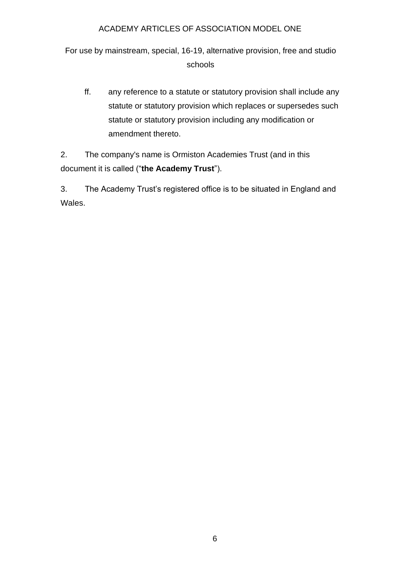For use by mainstream, special, 16-19, alternative provision, free and studio schools

ff. any reference to a statute or statutory provision shall include any statute or statutory provision which replaces or supersedes such statute or statutory provision including any modification or amendment thereto.

2. The company's name is Ormiston Academies Trust (and in this document it is called ("**the Academy Trust**").

3. The Academy Trust's registered office is to be situated in England and Wales.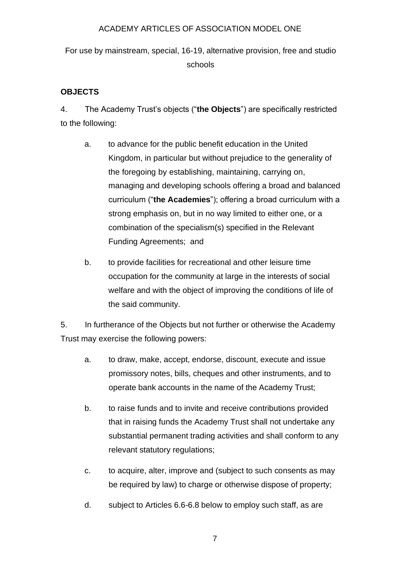For use by mainstream, special, 16-19, alternative provision, free and studio schools

# **OBJECTS**

4. The Academy Trust's objects ("**the Objects**") are specifically restricted to the following:

- a. to advance for the public benefit education in the United Kingdom, in particular but without prejudice to the generality of the foregoing by establishing, maintaining, carrying on, managing and developing schools offering a broad and balanced curriculum ("**the Academies**"); offering a broad curriculum with a strong emphasis on, but in no way limited to either one, or a combination of the specialism(s) specified in the Relevant Funding Agreements; and
- b. to provide facilities for recreational and other leisure time occupation for the community at large in the interests of social welfare and with the object of improving the conditions of life of the said community.

5. In furtherance of the Objects but not further or otherwise the Academy Trust may exercise the following powers:

- a. to draw, make, accept, endorse, discount, execute and issue promissory notes, bills, cheques and other instruments, and to operate bank accounts in the name of the Academy Trust;
- b. to raise funds and to invite and receive contributions provided that in raising funds the Academy Trust shall not undertake any substantial permanent trading activities and shall conform to any relevant statutory regulations;
- c. to acquire, alter, improve and (subject to such consents as may be required by law) to charge or otherwise dispose of property;
- d. subject to Articles 6.6-6.8 below to employ such staff, as are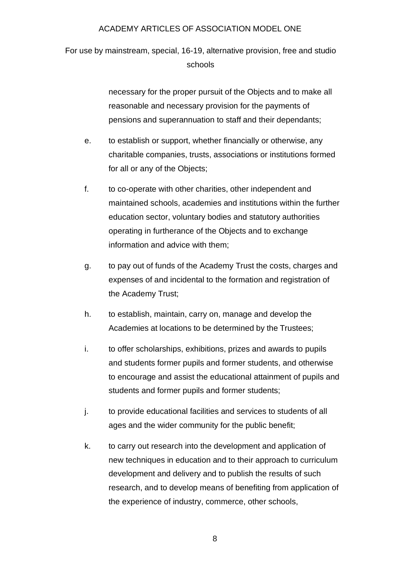For use by mainstream, special, 16-19, alternative provision, free and studio schools

> necessary for the proper pursuit of the Objects and to make all reasonable and necessary provision for the payments of pensions and superannuation to staff and their dependants;

- e. to establish or support, whether financially or otherwise, any charitable companies, trusts, associations or institutions formed for all or any of the Objects;
- f. to co-operate with other charities, other independent and maintained schools, academies and institutions within the further education sector, voluntary bodies and statutory authorities operating in furtherance of the Objects and to exchange information and advice with them;
- g. to pay out of funds of the Academy Trust the costs, charges and expenses of and incidental to the formation and registration of the Academy Trust;
- h. to establish, maintain, carry on, manage and develop the Academies at locations to be determined by the Trustees;
- i. to offer scholarships, exhibitions, prizes and awards to pupils and students former pupils and former students, and otherwise to encourage and assist the educational attainment of pupils and students and former pupils and former students;
- j. to provide educational facilities and services to students of all ages and the wider community for the public benefit;
- k. to carry out research into the development and application of new techniques in education and to their approach to curriculum development and delivery and to publish the results of such research, and to develop means of benefiting from application of the experience of industry, commerce, other schools,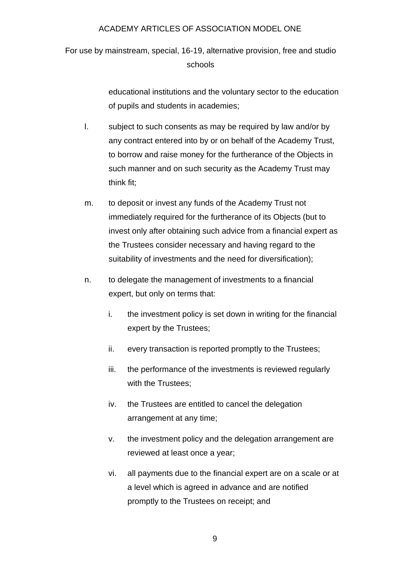For use by mainstream, special, 16-19, alternative provision, free and studio schools

> educational institutions and the voluntary sector to the education of pupils and students in academies;

- l. subject to such consents as may be required by law and/or by any contract entered into by or on behalf of the Academy Trust, to borrow and raise money for the furtherance of the Objects in such manner and on such security as the Academy Trust may think fit;
- m. to deposit or invest any funds of the Academy Trust not immediately required for the furtherance of its Objects (but to invest only after obtaining such advice from a financial expert as the Trustees consider necessary and having regard to the suitability of investments and the need for diversification);
- n. to delegate the management of investments to a financial expert, but only on terms that:
	- i. the investment policy is set down in writing for the financial expert by the Trustees;
	- ii. every transaction is reported promptly to the Trustees;
	- iii. the performance of the investments is reviewed regularly with the Trustees;
	- iv. the Trustees are entitled to cancel the delegation arrangement at any time;
	- v. the investment policy and the delegation arrangement are reviewed at least once a year;
	- vi. all payments due to the financial expert are on a scale or at a level which is agreed in advance and are notified promptly to the Trustees on receipt; and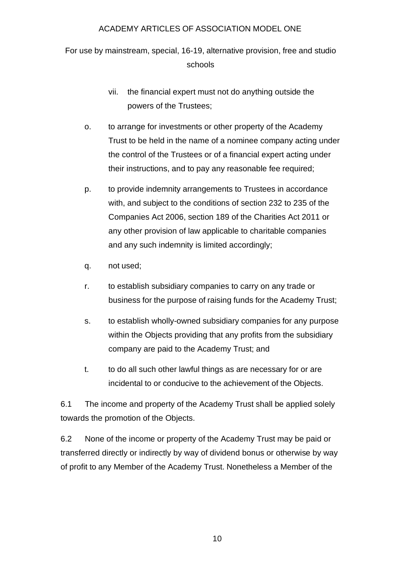For use by mainstream, special, 16-19, alternative provision, free and studio schools

- vii. the financial expert must not do anything outside the powers of the Trustees;
- o. to arrange for investments or other property of the Academy Trust to be held in the name of a nominee company acting under the control of the Trustees or of a financial expert acting under their instructions, and to pay any reasonable fee required;
- p. to provide indemnity arrangements to Trustees in accordance with, and subject to the conditions of section 232 to 235 of the Companies Act 2006, section 189 of the Charities Act 2011 or any other provision of law applicable to charitable companies and any such indemnity is limited accordingly;
- q. not used;
- r. to establish subsidiary companies to carry on any trade or business for the purpose of raising funds for the Academy Trust;
- s. to establish wholly-owned subsidiary companies for any purpose within the Objects providing that any profits from the subsidiary company are paid to the Academy Trust; and
- t. to do all such other lawful things as are necessary for or are incidental to or conducive to the achievement of the Objects.

6.1 The income and property of the Academy Trust shall be applied solely towards the promotion of the Objects.

6.2 None of the income or property of the Academy Trust may be paid or transferred directly or indirectly by way of dividend bonus or otherwise by way of profit to any Member of the Academy Trust. Nonetheless a Member of the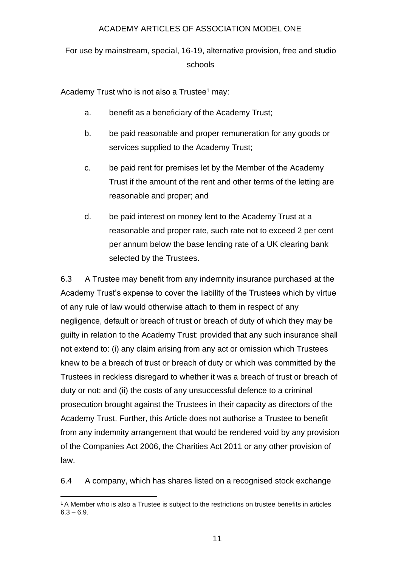For use by mainstream, special, 16-19, alternative provision, free and studio schools

Academy Trust who is not also a Trustee<sup>1</sup> may:

- a. benefit as a beneficiary of the Academy Trust;
- b. be paid reasonable and proper remuneration for any goods or services supplied to the Academy Trust;
- c. be paid rent for premises let by the Member of the Academy Trust if the amount of the rent and other terms of the letting are reasonable and proper; and
- d. be paid interest on money lent to the Academy Trust at a reasonable and proper rate, such rate not to exceed 2 per cent per annum below the base lending rate of a UK clearing bank selected by the Trustees.

6.3 A Trustee may benefit from any indemnity insurance purchased at the Academy Trust's expense to cover the liability of the Trustees which by virtue of any rule of law would otherwise attach to them in respect of any negligence, default or breach of trust or breach of duty of which they may be guilty in relation to the Academy Trust: provided that any such insurance shall not extend to: (i) any claim arising from any act or omission which Trustees knew to be a breach of trust or breach of duty or which was committed by the Trustees in reckless disregard to whether it was a breach of trust or breach of duty or not; and (ii) the costs of any unsuccessful defence to a criminal prosecution brought against the Trustees in their capacity as directors of the Academy Trust. Further, this Article does not authorise a Trustee to benefit from any indemnity arrangement that would be rendered void by any provision of the Companies Act 2006, the Charities Act 2011 or any other provision of law.

6.4 A company, which has shares listed on a recognised stock exchange

<sup>&</sup>lt;sup>1</sup> A Member who is also a Trustee is subject to the restrictions on trustee benefits in articles  $6.3 - 6.9.$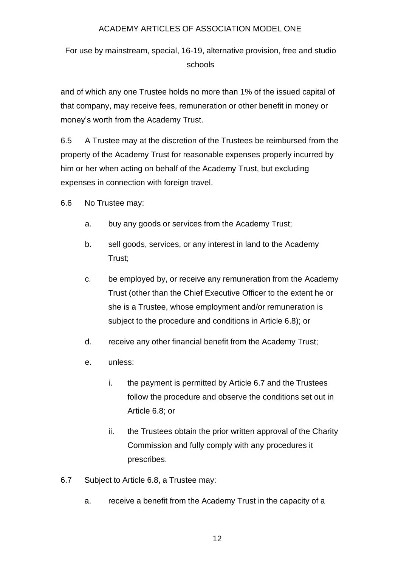For use by mainstream, special, 16-19, alternative provision, free and studio schools

and of which any one Trustee holds no more than 1% of the issued capital of that company, may receive fees, remuneration or other benefit in money or money's worth from the Academy Trust.

6.5 A Trustee may at the discretion of the Trustees be reimbursed from the property of the Academy Trust for reasonable expenses properly incurred by him or her when acting on behalf of the Academy Trust, but excluding expenses in connection with foreign travel.

6.6 No Trustee may:

- a. buy any goods or services from the Academy Trust;
- b. sell goods, services, or any interest in land to the Academy Trust;
- c. be employed by, or receive any remuneration from the Academy Trust (other than the Chief Executive Officer to the extent he or she is a Trustee, whose employment and/or remuneration is subject to the procedure and conditions in Article 6.8); or
- d. receive any other financial benefit from the Academy Trust;
- e. unless:
	- i. the payment is permitted by Article 6.7 and the Trustees follow the procedure and observe the conditions set out in Article 6.8; or
	- ii. the Trustees obtain the prior written approval of the Charity Commission and fully comply with any procedures it prescribes.
- 6.7 Subject to Article 6.8, a Trustee may:
	- a. receive a benefit from the Academy Trust in the capacity of a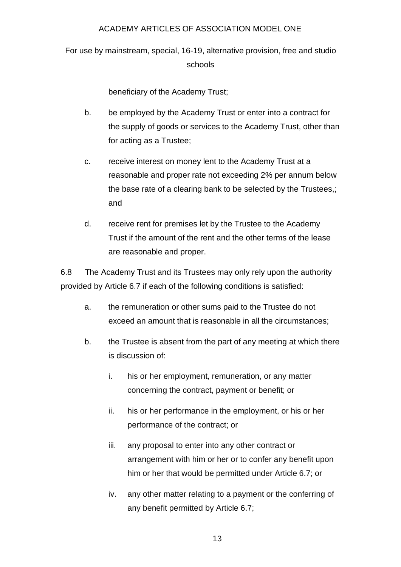For use by mainstream, special, 16-19, alternative provision, free and studio schools

beneficiary of the Academy Trust;

- b. be employed by the Academy Trust or enter into a contract for the supply of goods or services to the Academy Trust, other than for acting as a Trustee;
- c. receive interest on money lent to the Academy Trust at a reasonable and proper rate not exceeding 2% per annum below the base rate of a clearing bank to be selected by the Trustees,; and
- d. receive rent for premises let by the Trustee to the Academy Trust if the amount of the rent and the other terms of the lease are reasonable and proper.

6.8 The Academy Trust and its Trustees may only rely upon the authority provided by Article 6.7 if each of the following conditions is satisfied:

- a. the remuneration or other sums paid to the Trustee do not exceed an amount that is reasonable in all the circumstances;
- b. the Trustee is absent from the part of any meeting at which there is discussion of:
	- i. his or her employment, remuneration, or any matter concerning the contract, payment or benefit; or
	- ii. his or her performance in the employment, or his or her performance of the contract; or
	- iii. any proposal to enter into any other contract or arrangement with him or her or to confer any benefit upon him or her that would be permitted under Article 6.7; or
	- iv. any other matter relating to a payment or the conferring of any benefit permitted by Article 6.7;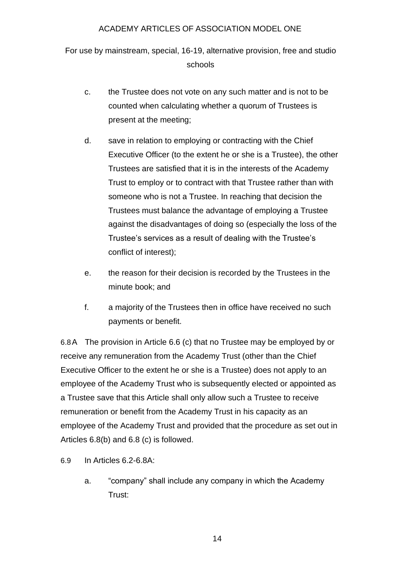For use by mainstream, special, 16-19, alternative provision, free and studio schools

- c. the Trustee does not vote on any such matter and is not to be counted when calculating whether a quorum of Trustees is present at the meeting;
- d. save in relation to employing or contracting with the Chief Executive Officer (to the extent he or she is a Trustee), the other Trustees are satisfied that it is in the interests of the Academy Trust to employ or to contract with that Trustee rather than with someone who is not a Trustee. In reaching that decision the Trustees must balance the advantage of employing a Trustee against the disadvantages of doing so (especially the loss of the Trustee's services as a result of dealing with the Trustee's conflict of interest);
- e. the reason for their decision is recorded by the Trustees in the minute book; and
- f. a majority of the Trustees then in office have received no such payments or benefit.

6.8A The provision in Article 6.6 (c) that no Trustee may be employed by or receive any remuneration from the Academy Trust (other than the Chief Executive Officer to the extent he or she is a Trustee) does not apply to an employee of the Academy Trust who is subsequently elected or appointed as a Trustee save that this Article shall only allow such a Trustee to receive remuneration or benefit from the Academy Trust in his capacity as an employee of the Academy Trust and provided that the procedure as set out in Articles 6.8(b) and 6.8 (c) is followed.

- 6.9 In Articles 6.2-6.8A:
	- a. "company" shall include any company in which the Academy Trust: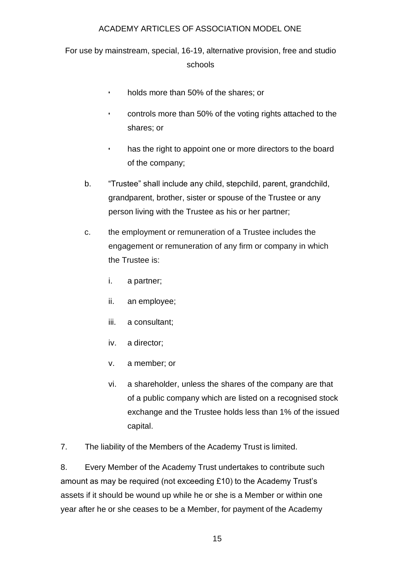For use by mainstream, special, 16-19, alternative provision, free and studio schools

- holds more than 50% of the shares; or
- controls more than 50% of the voting rights attached to the shares; or
- has the right to appoint one or more directors to the board of the company;
- b. "Trustee" shall include any child, stepchild, parent, grandchild, grandparent, brother, sister or spouse of the Trustee or any person living with the Trustee as his or her partner;
- c. the employment or remuneration of a Trustee includes the engagement or remuneration of any firm or company in which the Trustee is:
	- i. a partner;
	- ii. an employee;
	- iii. a consultant;
	- iv. a director;
	- v. a member; or
	- vi. a shareholder, unless the shares of the company are that of a public company which are listed on a recognised stock exchange and the Trustee holds less than 1% of the issued capital.

7. The liability of the Members of the Academy Trust is limited.

8. Every Member of the Academy Trust undertakes to contribute such amount as may be required (not exceeding £10) to the Academy Trust's assets if it should be wound up while he or she is a Member or within one year after he or she ceases to be a Member, for payment of the Academy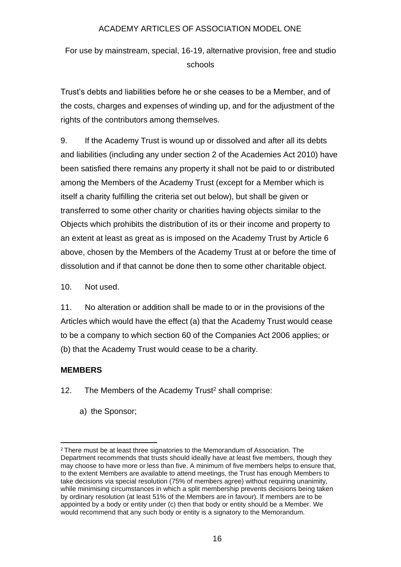For use by mainstream, special, 16-19, alternative provision, free and studio schools

Trust's debts and liabilities before he or she ceases to be a Member, and of the costs, charges and expenses of winding up, and for the adjustment of the rights of the contributors among themselves.

9. If the Academy Trust is wound up or dissolved and after all its debts and liabilities (including any under section 2 of the Academies Act 2010) have been satisfied there remains any property it shall not be paid to or distributed among the Members of the Academy Trust (except for a Member which is itself a charity fulfilling the criteria set out below), but shall be given or transferred to some other charity or charities having objects similar to the Objects which prohibits the distribution of its or their income and property to an extent at least as great as is imposed on the Academy Trust by Article 6 above, chosen by the Members of the Academy Trust at or before the time of dissolution and if that cannot be done then to some other charitable object.

10. Not used.

11. No alteration or addition shall be made to or in the provisions of the Articles which would have the effect (a) that the Academy Trust would cease to be a company to which section 60 of the Companies Act 2006 applies; or (b) that the Academy Trust would cease to be a charity.

# **MEMBERS**

- 12. The Members of the Academy Trust<sup>2</sup> shall comprise:
	- a) the Sponsor;

<sup>2</sup> There must be at least three signatories to the Memorandum of Association. The Department recommends that trusts should ideally have at least five members, though they may choose to have more or less than five. A minimum of five members helps to ensure that, to the extent Members are available to attend meetings, the Trust has enough Members to take decisions via special resolution (75% of members agree) without requiring unanimity, while minimising circumstances in which a split membership prevents decisions being taken by ordinary resolution (at least 51% of the Members are in favour). If members are to be appointed by a body or entity under (c) then that body or entity should be a Member. We would recommend that any such body or entity is a signatory to the Memorandum.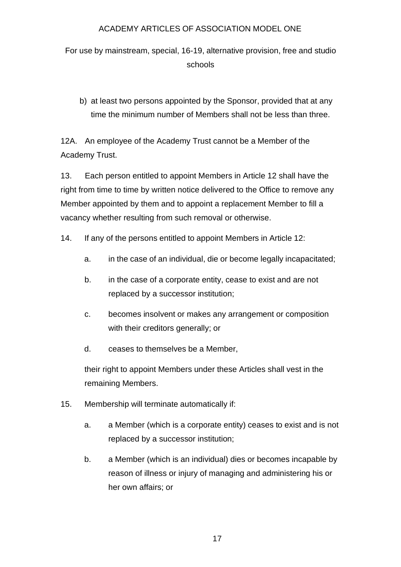For use by mainstream, special, 16-19, alternative provision, free and studio schools

b) at least two persons appointed by the Sponsor, provided that at any time the minimum number of Members shall not be less than three.

12A. An employee of the Academy Trust cannot be a Member of the Academy Trust.

13. Each person entitled to appoint Members in Article 12 shall have the right from time to time by written notice delivered to the Office to remove any Member appointed by them and to appoint a replacement Member to fill a vacancy whether resulting from such removal or otherwise.

- 14. If any of the persons entitled to appoint Members in Article 12:
	- a. in the case of an individual, die or become legally incapacitated;
	- b. in the case of a corporate entity, cease to exist and are not replaced by a successor institution;
	- c. becomes insolvent or makes any arrangement or composition with their creditors generally; or
	- d. ceases to themselves be a Member,

their right to appoint Members under these Articles shall vest in the remaining Members.

- 15. Membership will terminate automatically if:
	- a. a Member (which is a corporate entity) ceases to exist and is not replaced by a successor institution;
	- b. a Member (which is an individual) dies or becomes incapable by reason of illness or injury of managing and administering his or her own affairs; or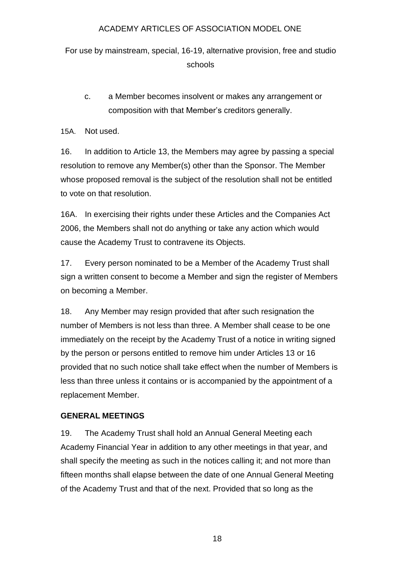For use by mainstream, special, 16-19, alternative provision, free and studio schools

c. a Member becomes insolvent or makes any arrangement or composition with that Member's creditors generally.

15A. Not used.

16. In addition to Article 13, the Members may agree by passing a special resolution to remove any Member(s) other than the Sponsor. The Member whose proposed removal is the subject of the resolution shall not be entitled to vote on that resolution.

16A. In exercising their rights under these Articles and the Companies Act 2006, the Members shall not do anything or take any action which would cause the Academy Trust to contravene its Objects.

17. Every person nominated to be a Member of the Academy Trust shall sign a written consent to become a Member and sign the register of Members on becoming a Member.

18. Any Member may resign provided that after such resignation the number of Members is not less than three. A Member shall cease to be one immediately on the receipt by the Academy Trust of a notice in writing signed by the person or persons entitled to remove him under Articles 13 or 16 provided that no such notice shall take effect when the number of Members is less than three unless it contains or is accompanied by the appointment of a replacement Member.

# **GENERAL MEETINGS**

19. The Academy Trust shall hold an Annual General Meeting each Academy Financial Year in addition to any other meetings in that year, and shall specify the meeting as such in the notices calling it; and not more than fifteen months shall elapse between the date of one Annual General Meeting of the Academy Trust and that of the next. Provided that so long as the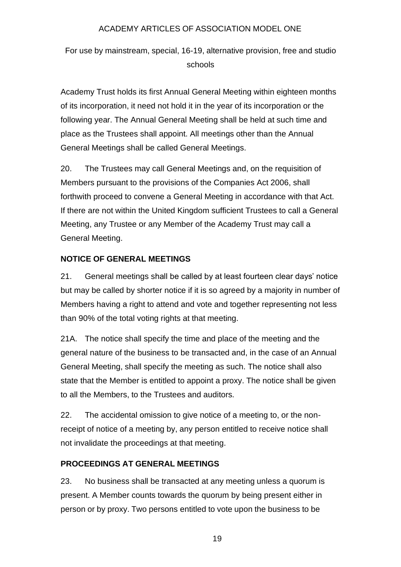For use by mainstream, special, 16-19, alternative provision, free and studio schools

Academy Trust holds its first Annual General Meeting within eighteen months of its incorporation, it need not hold it in the year of its incorporation or the following year. The Annual General Meeting shall be held at such time and place as the Trustees shall appoint. All meetings other than the Annual General Meetings shall be called General Meetings.

20. The Trustees may call General Meetings and, on the requisition of Members pursuant to the provisions of the Companies Act 2006, shall forthwith proceed to convene a General Meeting in accordance with that Act. If there are not within the United Kingdom sufficient Trustees to call a General Meeting, any Trustee or any Member of the Academy Trust may call a General Meeting.

### **NOTICE OF GENERAL MEETINGS**

21. General meetings shall be called by at least fourteen clear days' notice but may be called by shorter notice if it is so agreed by a majority in number of Members having a right to attend and vote and together representing not less than 90% of the total voting rights at that meeting.

21A. The notice shall specify the time and place of the meeting and the general nature of the business to be transacted and, in the case of an Annual General Meeting, shall specify the meeting as such. The notice shall also state that the Member is entitled to appoint a proxy. The notice shall be given to all the Members, to the Trustees and auditors.

22. The accidental omission to give notice of a meeting to, or the nonreceipt of notice of a meeting by, any person entitled to receive notice shall not invalidate the proceedings at that meeting.

# **PROCEEDINGS AT GENERAL MEETINGS**

23. No business shall be transacted at any meeting unless a quorum is present. A Member counts towards the quorum by being present either in person or by proxy. Two persons entitled to vote upon the business to be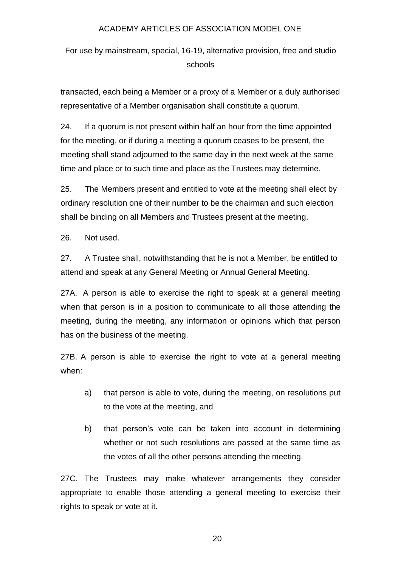For use by mainstream, special, 16-19, alternative provision, free and studio schools

transacted, each being a Member or a proxy of a Member or a duly authorised representative of a Member organisation shall constitute a quorum.

24. If a quorum is not present within half an hour from the time appointed for the meeting, or if during a meeting a quorum ceases to be present, the meeting shall stand adjourned to the same day in the next week at the same time and place or to such time and place as the Trustees may determine.

25. The Members present and entitled to vote at the meeting shall elect by ordinary resolution one of their number to be the chairman and such election shall be binding on all Members and Trustees present at the meeting.

26. Not used.

27. A Trustee shall, notwithstanding that he is not a Member, be entitled to attend and speak at any General Meeting or Annual General Meeting.

27A. A person is able to exercise the right to speak at a general meeting when that person is in a position to communicate to all those attending the meeting, during the meeting, any information or opinions which that person has on the business of the meeting.

27B. A person is able to exercise the right to vote at a general meeting when:

- a) that person is able to vote, during the meeting, on resolutions put to the vote at the meeting, and
- b) that person's vote can be taken into account in determining whether or not such resolutions are passed at the same time as the votes of all the other persons attending the meeting.

27C. The Trustees may make whatever arrangements they consider appropriate to enable those attending a general meeting to exercise their rights to speak or vote at it.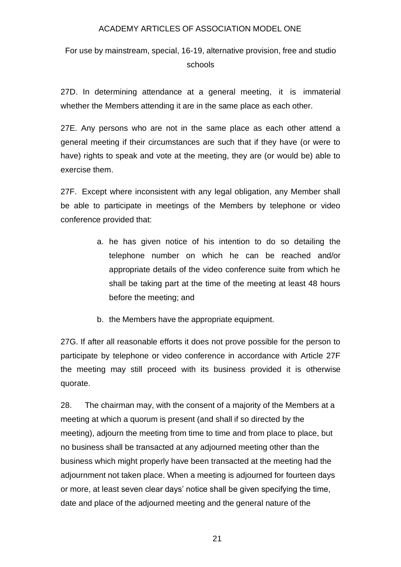For use by mainstream, special, 16-19, alternative provision, free and studio schools

27D. In determining attendance at a general meeting, it is immaterial whether the Members attending it are in the same place as each other.

27E. Any persons who are not in the same place as each other attend a general meeting if their circumstances are such that if they have (or were to have) rights to speak and vote at the meeting, they are (or would be) able to exercise them.

27F. Except where inconsistent with any legal obligation, any Member shall be able to participate in meetings of the Members by telephone or video conference provided that:

- a. he has given notice of his intention to do so detailing the telephone number on which he can be reached and/or appropriate details of the video conference suite from which he shall be taking part at the time of the meeting at least 48 hours before the meeting; and
- b. the Members have the appropriate equipment.

27G. If after all reasonable efforts it does not prove possible for the person to participate by telephone or video conference in accordance with Article 27F the meeting may still proceed with its business provided it is otherwise quorate.

28. The chairman may, with the consent of a majority of the Members at a meeting at which a quorum is present (and shall if so directed by the meeting), adjourn the meeting from time to time and from place to place, but no business shall be transacted at any adjourned meeting other than the business which might properly have been transacted at the meeting had the adjournment not taken place. When a meeting is adjourned for fourteen days or more, at least seven clear days' notice shall be given specifying the time, date and place of the adjourned meeting and the general nature of the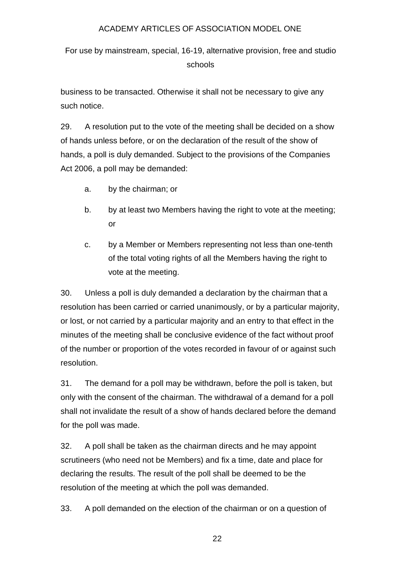For use by mainstream, special, 16-19, alternative provision, free and studio schools

business to be transacted. Otherwise it shall not be necessary to give any such notice.

29. A resolution put to the vote of the meeting shall be decided on a show of hands unless before, or on the declaration of the result of the show of hands, a poll is duly demanded. Subject to the provisions of the Companies Act 2006, a poll may be demanded:

- a. by the chairman; or
- b. by at least two Members having the right to vote at the meeting: or
- c. by a Member or Members representing not less than one-tenth of the total voting rights of all the Members having the right to vote at the meeting.

30. Unless a poll is duly demanded a declaration by the chairman that a resolution has been carried or carried unanimously, or by a particular majority, or lost, or not carried by a particular majority and an entry to that effect in the minutes of the meeting shall be conclusive evidence of the fact without proof of the number or proportion of the votes recorded in favour of or against such resolution.

31. The demand for a poll may be withdrawn, before the poll is taken, but only with the consent of the chairman. The withdrawal of a demand for a poll shall not invalidate the result of a show of hands declared before the demand for the poll was made.

32. A poll shall be taken as the chairman directs and he may appoint scrutineers (who need not be Members) and fix a time, date and place for declaring the results. The result of the poll shall be deemed to be the resolution of the meeting at which the poll was demanded.

33. A poll demanded on the election of the chairman or on a question of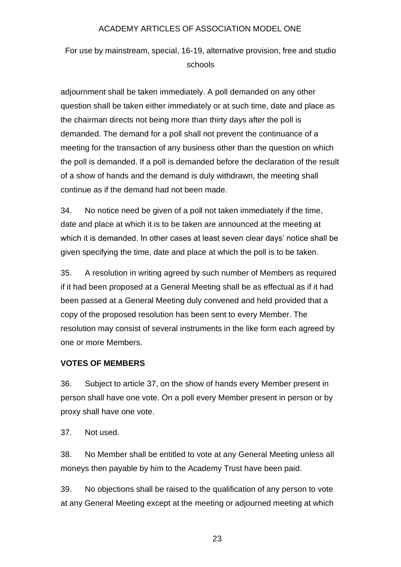For use by mainstream, special, 16-19, alternative provision, free and studio schools

adjournment shall be taken immediately. A poll demanded on any other question shall be taken either immediately or at such time, date and place as the chairman directs not being more than thirty days after the poll is demanded. The demand for a poll shall not prevent the continuance of a meeting for the transaction of any business other than the question on which the poll is demanded. If a poll is demanded before the declaration of the result of a show of hands and the demand is duly withdrawn, the meeting shall continue as if the demand had not been made.

34. No notice need be given of a poll not taken immediately if the time, date and place at which it is to be taken are announced at the meeting at which it is demanded. In other cases at least seven clear days' notice shall be given specifying the time, date and place at which the poll is to be taken.

35. A resolution in writing agreed by such number of Members as required if it had been proposed at a General Meeting shall be as effectual as if it had been passed at a General Meeting duly convened and held provided that a copy of the proposed resolution has been sent to every Member. The resolution may consist of several instruments in the like form each agreed by one or more Members.

# **VOTES OF MEMBERS**

36. Subject to article 37, on the show of hands every Member present in person shall have one vote. On a poll every Member present in person or by proxy shall have one vote.

37. Not used.

38. No Member shall be entitled to vote at any General Meeting unless all moneys then payable by him to the Academy Trust have been paid.

39. No objections shall be raised to the qualification of any person to vote at any General Meeting except at the meeting or adjourned meeting at which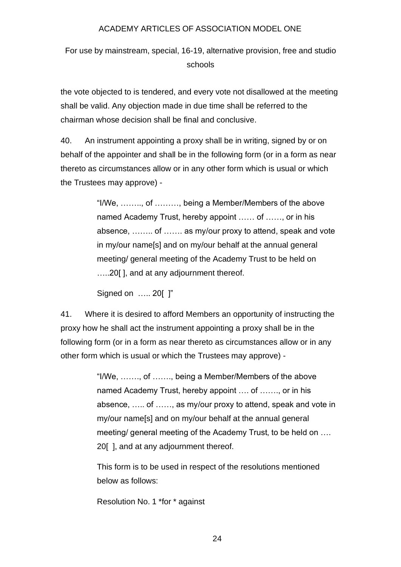For use by mainstream, special, 16-19, alternative provision, free and studio schools

the vote objected to is tendered, and every vote not disallowed at the meeting shall be valid. Any objection made in due time shall be referred to the chairman whose decision shall be final and conclusive.

40. An instrument appointing a proxy shall be in writing, signed by or on behalf of the appointer and shall be in the following form (or in a form as near thereto as circumstances allow or in any other form which is usual or which the Trustees may approve) -

> "I/We, …….., of ………, being a Member/Members of the above named Academy Trust, hereby appoint …… of ……, or in his absence, …….. of ……. as my/our proxy to attend, speak and vote in my/our name[s] and on my/our behalf at the annual general meeting/ general meeting of the Academy Trust to be held on …..20[ ], and at any adjournment thereof.

Signed on ….. 20[ ]"

41. Where it is desired to afford Members an opportunity of instructing the proxy how he shall act the instrument appointing a proxy shall be in the following form (or in a form as near thereto as circumstances allow or in any other form which is usual or which the Trustees may approve) -

> "I/We, ……., of ……., being a Member/Members of the above named Academy Trust, hereby appoint …. of ……., or in his absence, ….. of ……, as my/our proxy to attend, speak and vote in my/our name[s] and on my/our behalf at the annual general meeting/ general meeting of the Academy Trust, to be held on …. 20[ ], and at any adjournment thereof.

This form is to be used in respect of the resolutions mentioned below as follows:

Resolution No. 1 \*for \* against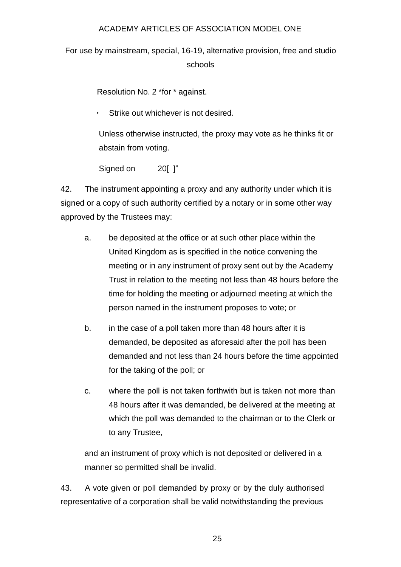For use by mainstream, special, 16-19, alternative provision, free and studio schools

Resolution No. 2 \*for \* against.

Strike out whichever is not desired.

Unless otherwise instructed, the proxy may vote as he thinks fit or abstain from voting.

Signed on 20[ ]"

42. The instrument appointing a proxy and any authority under which it is signed or a copy of such authority certified by a notary or in some other way approved by the Trustees may:

- a. be deposited at the office or at such other place within the United Kingdom as is specified in the notice convening the meeting or in any instrument of proxy sent out by the Academy Trust in relation to the meeting not less than 48 hours before the time for holding the meeting or adjourned meeting at which the person named in the instrument proposes to vote; or
- b. in the case of a poll taken more than 48 hours after it is demanded, be deposited as aforesaid after the poll has been demanded and not less than 24 hours before the time appointed for the taking of the poll; or
- c. where the poll is not taken forthwith but is taken not more than 48 hours after it was demanded, be delivered at the meeting at which the poll was demanded to the chairman or to the Clerk or to any Trustee,

and an instrument of proxy which is not deposited or delivered in a manner so permitted shall be invalid.

43. A vote given or poll demanded by proxy or by the duly authorised representative of a corporation shall be valid notwithstanding the previous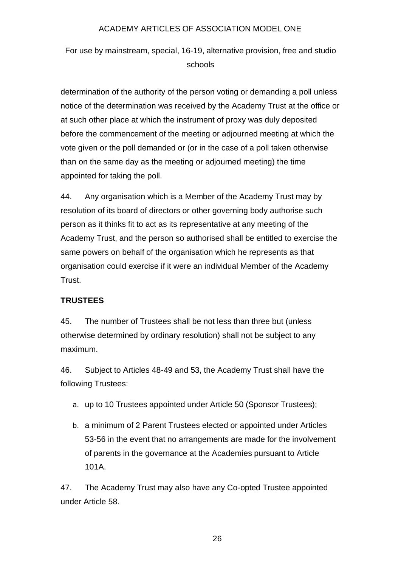For use by mainstream, special, 16-19, alternative provision, free and studio schools

determination of the authority of the person voting or demanding a poll unless notice of the determination was received by the Academy Trust at the office or at such other place at which the instrument of proxy was duly deposited before the commencement of the meeting or adjourned meeting at which the vote given or the poll demanded or (or in the case of a poll taken otherwise than on the same day as the meeting or adjourned meeting) the time appointed for taking the poll.

44. Any organisation which is a Member of the Academy Trust may by resolution of its board of directors or other governing body authorise such person as it thinks fit to act as its representative at any meeting of the Academy Trust, and the person so authorised shall be entitled to exercise the same powers on behalf of the organisation which he represents as that organisation could exercise if it were an individual Member of the Academy Trust.

# **TRUSTEES**

45. The number of Trustees shall be not less than three but (unless otherwise determined by ordinary resolution) shall not be subject to any maximum.

46. Subject to Articles 48-49 and 53, the Academy Trust shall have the following Trustees:

- a. up to 10 Trustees appointed under Article 50 (Sponsor Trustees);
- b. a minimum of 2 Parent Trustees elected or appointed under Articles 53-56 in the event that no arrangements are made for the involvement of parents in the governance at the Academies pursuant to Article 101A.

47. The Academy Trust may also have any Co-opted Trustee appointed under Article 58.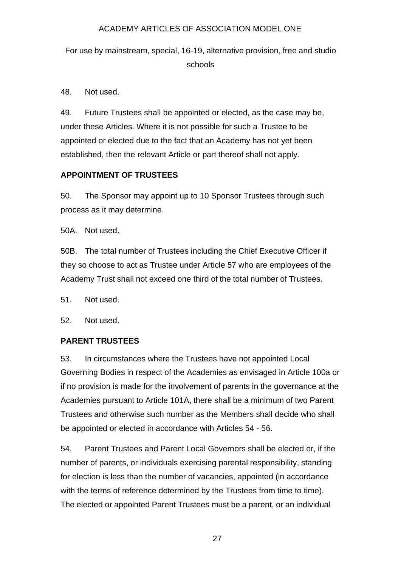For use by mainstream, special, 16-19, alternative provision, free and studio schools

48. Not used.

49. Future Trustees shall be appointed or elected, as the case may be, under these Articles. Where it is not possible for such a Trustee to be appointed or elected due to the fact that an Academy has not yet been established, then the relevant Article or part thereof shall not apply.

# **APPOINTMENT OF TRUSTEES**

50. The Sponsor may appoint up to 10 Sponsor Trustees through such process as it may determine.

50A. Not used.

50B. The total number of Trustees including the Chief Executive Officer if they so choose to act as Trustee under Article 57 who are employees of the Academy Trust shall not exceed one third of the total number of Trustees.

51. Not used.

52. Not used.

# **PARENT TRUSTEES**

53. In circumstances where the Trustees have not appointed Local Governing Bodies in respect of the Academies as envisaged in Article 100a or if no provision is made for the involvement of parents in the governance at the Academies pursuant to Article 101A, there shall be a minimum of two Parent Trustees and otherwise such number as the Members shall decide who shall be appointed or elected in accordance with Articles 54 - 56.

54. Parent Trustees and Parent Local Governors shall be elected or, if the number of parents, or individuals exercising parental responsibility, standing for election is less than the number of vacancies, appointed (in accordance with the terms of reference determined by the Trustees from time to time). The elected or appointed Parent Trustees must be a parent, or an individual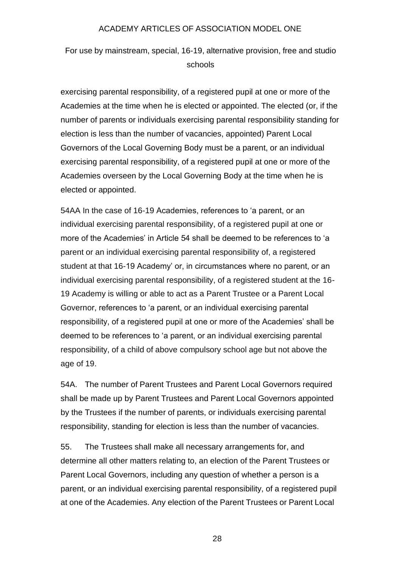For use by mainstream, special, 16-19, alternative provision, free and studio schools

exercising parental responsibility, of a registered pupil at one or more of the Academies at the time when he is elected or appointed. The elected (or, if the number of parents or individuals exercising parental responsibility standing for election is less than the number of vacancies, appointed) Parent Local Governors of the Local Governing Body must be a parent, or an individual exercising parental responsibility, of a registered pupil at one or more of the Academies overseen by the Local Governing Body at the time when he is elected or appointed.

54AA In the case of 16-19 Academies, references to 'a parent, or an individual exercising parental responsibility, of a registered pupil at one or more of the Academies' in Article 54 shall be deemed to be references to 'a parent or an individual exercising parental responsibility of, a registered student at that 16-19 Academy' or, in circumstances where no parent, or an individual exercising parental responsibility, of a registered student at the 16- 19 Academy is willing or able to act as a Parent Trustee or a Parent Local Governor, references to 'a parent, or an individual exercising parental responsibility, of a registered pupil at one or more of the Academies' shall be deemed to be references to 'a parent, or an individual exercising parental responsibility, of a child of above compulsory school age but not above the age of 19.

54A. The number of Parent Trustees and Parent Local Governors required shall be made up by Parent Trustees and Parent Local Governors appointed by the Trustees if the number of parents, or individuals exercising parental responsibility, standing for election is less than the number of vacancies.

55. The Trustees shall make all necessary arrangements for, and determine all other matters relating to, an election of the Parent Trustees or Parent Local Governors, including any question of whether a person is a parent, or an individual exercising parental responsibility, of a registered pupil at one of the Academies. Any election of the Parent Trustees or Parent Local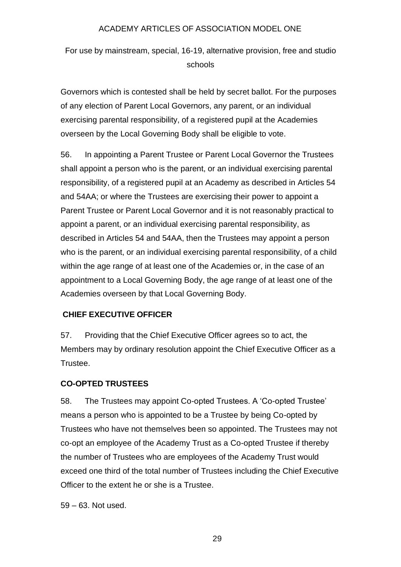For use by mainstream, special, 16-19, alternative provision, free and studio schools

Governors which is contested shall be held by secret ballot. For the purposes of any election of Parent Local Governors, any parent, or an individual exercising parental responsibility, of a registered pupil at the Academies overseen by the Local Governing Body shall be eligible to vote.

56. In appointing a Parent Trustee or Parent Local Governor the Trustees shall appoint a person who is the parent, or an individual exercising parental responsibility, of a registered pupil at an Academy as described in Articles 54 and 54AA; or where the Trustees are exercising their power to appoint a Parent Trustee or Parent Local Governor and it is not reasonably practical to appoint a parent, or an individual exercising parental responsibility, as described in Articles 54 and 54AA, then the Trustees may appoint a person who is the parent, or an individual exercising parental responsibility, of a child within the age range of at least one of the Academies or, in the case of an appointment to a Local Governing Body, the age range of at least one of the Academies overseen by that Local Governing Body.

#### **CHIEF EXECUTIVE OFFICER**

57. Providing that the Chief Executive Officer agrees so to act, the Members may by ordinary resolution appoint the Chief Executive Officer as a Trustee.

#### **CO-OPTED TRUSTEES**

58. The Trustees may appoint Co-opted Trustees. A 'Co-opted Trustee' means a person who is appointed to be a Trustee by being Co-opted by Trustees who have not themselves been so appointed. The Trustees may not co-opt an employee of the Academy Trust as a Co-opted Trustee if thereby the number of Trustees who are employees of the Academy Trust would exceed one third of the total number of Trustees including the Chief Executive Officer to the extent he or she is a Trustee.

59 – 63. Not used.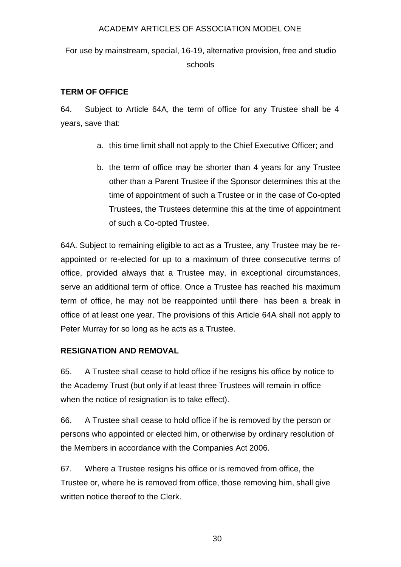For use by mainstream, special, 16-19, alternative provision, free and studio schools

# **TERM OF OFFICE**

64. Subject to Article 64A, the term of office for any Trustee shall be 4 years, save that:

- a. this time limit shall not apply to the Chief Executive Officer; and
- b. the term of office may be shorter than 4 years for any Trustee other than a Parent Trustee if the Sponsor determines this at the time of appointment of such a Trustee or in the case of Co-opted Trustees, the Trustees determine this at the time of appointment of such a Co-opted Trustee.

64A. Subject to remaining eligible to act as a Trustee, any Trustee may be reappointed or re-elected for up to a maximum of three consecutive terms of office, provided always that a Trustee may, in exceptional circumstances, serve an additional term of office. Once a Trustee has reached his maximum term of office, he may not be reappointed until there has been a break in office of at least one year. The provisions of this Article 64A shall not apply to Peter Murray for so long as he acts as a Trustee.

# **RESIGNATION AND REMOVAL**

65. A Trustee shall cease to hold office if he resigns his office by notice to the Academy Trust (but only if at least three Trustees will remain in office when the notice of resignation is to take effect).

66. A Trustee shall cease to hold office if he is removed by the person or persons who appointed or elected him, or otherwise by ordinary resolution of the Members in accordance with the Companies Act 2006.

67. Where a Trustee resigns his office or is removed from office, the Trustee or, where he is removed from office, those removing him, shall give written notice thereof to the Clerk.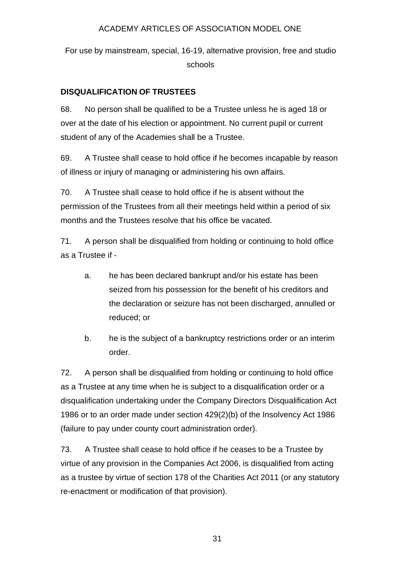For use by mainstream, special, 16-19, alternative provision, free and studio schools

# **DISQUALIFICATION OF TRUSTEES**

68. No person shall be qualified to be a Trustee unless he is aged 18 or over at the date of his election or appointment. No current pupil or current student of any of the Academies shall be a Trustee.

69. A Trustee shall cease to hold office if he becomes incapable by reason of illness or injury of managing or administering his own affairs.

70. A Trustee shall cease to hold office if he is absent without the permission of the Trustees from all their meetings held within a period of six months and the Trustees resolve that his office be vacated.

71. A person shall be disqualified from holding or continuing to hold office as a Trustee if -

- a. he has been declared bankrupt and/or his estate has been seized from his possession for the benefit of his creditors and the declaration or seizure has not been discharged, annulled or reduced; or
- b. he is the subject of a bankruptcy restrictions order or an interim order.

72. A person shall be disqualified from holding or continuing to hold office as a Trustee at any time when he is subject to a disqualification order or a disqualification undertaking under the Company Directors Disqualification Act 1986 or to an order made under section 429(2)(b) of the Insolvency Act 1986 (failure to pay under county court administration order).

73. A Trustee shall cease to hold office if he ceases to be a Trustee by virtue of any provision in the Companies Act 2006, is disqualified from acting as a trustee by virtue of section 178 of the Charities Act 2011 (or any statutory re-enactment or modification of that provision).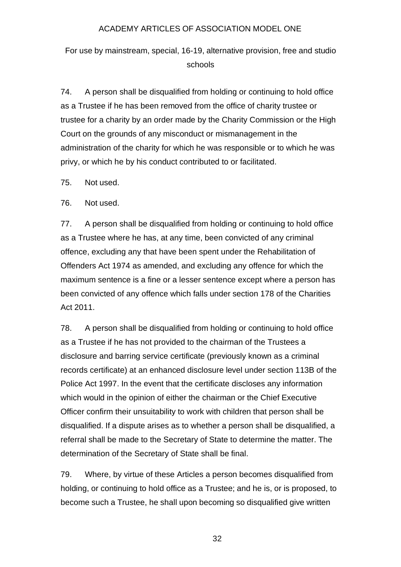For use by mainstream, special, 16-19, alternative provision, free and studio schools

74. A person shall be disqualified from holding or continuing to hold office as a Trustee if he has been removed from the office of charity trustee or trustee for a charity by an order made by the Charity Commission or the High Court on the grounds of any misconduct or mismanagement in the administration of the charity for which he was responsible or to which he was privy, or which he by his conduct contributed to or facilitated.

75. Not used.

76. Not used.

77. A person shall be disqualified from holding or continuing to hold office as a Trustee where he has, at any time, been convicted of any criminal offence, excluding any that have been spent under the Rehabilitation of Offenders Act 1974 as amended, and excluding any offence for which the maximum sentence is a fine or a lesser sentence except where a person has been convicted of any offence which falls under section 178 of the Charities Act 2011.

78. A person shall be disqualified from holding or continuing to hold office as a Trustee if he has not provided to the chairman of the Trustees a disclosure and barring service certificate (previously known as a criminal records certificate) at an enhanced disclosure level under section 113B of the Police Act 1997. In the event that the certificate discloses any information which would in the opinion of either the chairman or the Chief Executive Officer confirm their unsuitability to work with children that person shall be disqualified. If a dispute arises as to whether a person shall be disqualified, a referral shall be made to the Secretary of State to determine the matter. The determination of the Secretary of State shall be final.

79. Where, by virtue of these Articles a person becomes disqualified from holding, or continuing to hold office as a Trustee; and he is, or is proposed, to become such a Trustee, he shall upon becoming so disqualified give written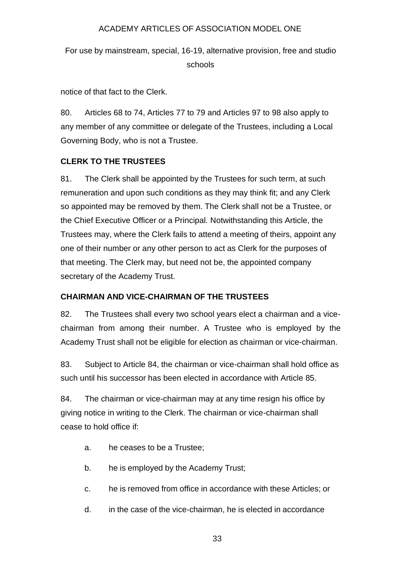For use by mainstream, special, 16-19, alternative provision, free and studio schools

notice of that fact to the Clerk.

80. Articles 68 to 74, Articles 77 to 79 and Articles 97 to 98 also apply to any member of any committee or delegate of the Trustees, including a Local Governing Body, who is not a Trustee.

# **CLERK TO THE TRUSTEES**

81. The Clerk shall be appointed by the Trustees for such term, at such remuneration and upon such conditions as they may think fit; and any Clerk so appointed may be removed by them. The Clerk shall not be a Trustee, or the Chief Executive Officer or a Principal*.* Notwithstanding this Article, the Trustees may, where the Clerk fails to attend a meeting of theirs, appoint any one of their number or any other person to act as Clerk for the purposes of that meeting. The Clerk may, but need not be, the appointed company secretary of the Academy Trust.

# **CHAIRMAN AND VICE-CHAIRMAN OF THE TRUSTEES**

82. The Trustees shall every two school years elect a chairman and a vicechairman from among their number. A Trustee who is employed by the Academy Trust shall not be eligible for election as chairman or vice-chairman.

83. Subject to Article 84, the chairman or vice-chairman shall hold office as such until his successor has been elected in accordance with Article 85.

84. The chairman or vice-chairman may at any time resign his office by giving notice in writing to the Clerk. The chairman or vice-chairman shall cease to hold office if:

- a. he ceases to be a Trustee;
- b. he is employed by the Academy Trust;
- c. he is removed from office in accordance with these Articles; or
- d. in the case of the vice-chairman, he is elected in accordance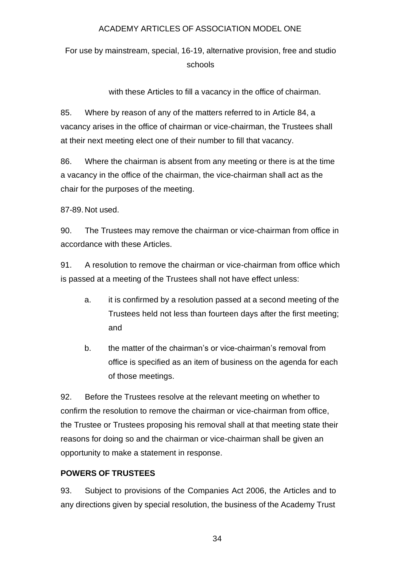For use by mainstream, special, 16-19, alternative provision, free and studio schools

with these Articles to fill a vacancy in the office of chairman.

85. Where by reason of any of the matters referred to in Article 84, a vacancy arises in the office of chairman or vice-chairman, the Trustees shall at their next meeting elect one of their number to fill that vacancy.

86. Where the chairman is absent from any meeting or there is at the time a vacancy in the office of the chairman, the vice-chairman shall act as the chair for the purposes of the meeting.

87-89.Not used.

90. The Trustees may remove the chairman or vice-chairman from office in accordance with these Articles.

91. A resolution to remove the chairman or vice-chairman from office which is passed at a meeting of the Trustees shall not have effect unless:

- a. it is confirmed by a resolution passed at a second meeting of the Trustees held not less than fourteen days after the first meeting; and
- b. the matter of the chairman's or vice-chairman's removal from office is specified as an item of business on the agenda for each of those meetings.

92. Before the Trustees resolve at the relevant meeting on whether to confirm the resolution to remove the chairman or vice-chairman from office, the Trustee or Trustees proposing his removal shall at that meeting state their reasons for doing so and the chairman or vice-chairman shall be given an opportunity to make a statement in response.

# **POWERS OF TRUSTEES**

93. Subject to provisions of the Companies Act 2006, the Articles and to any directions given by special resolution, the business of the Academy Trust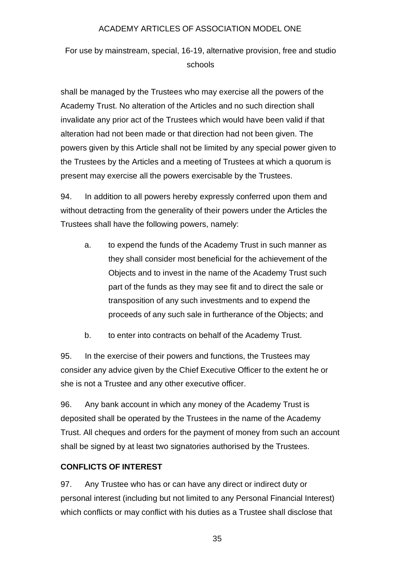For use by mainstream, special, 16-19, alternative provision, free and studio schools

shall be managed by the Trustees who may exercise all the powers of the Academy Trust. No alteration of the Articles and no such direction shall invalidate any prior act of the Trustees which would have been valid if that alteration had not been made or that direction had not been given. The powers given by this Article shall not be limited by any special power given to the Trustees by the Articles and a meeting of Trustees at which a quorum is present may exercise all the powers exercisable by the Trustees.

94. In addition to all powers hereby expressly conferred upon them and without detracting from the generality of their powers under the Articles the Trustees shall have the following powers, namely:

- a. to expend the funds of the Academy Trust in such manner as they shall consider most beneficial for the achievement of the Objects and to invest in the name of the Academy Trust such part of the funds as they may see fit and to direct the sale or transposition of any such investments and to expend the proceeds of any such sale in furtherance of the Objects; and
- b. to enter into contracts on behalf of the Academy Trust.

95. In the exercise of their powers and functions, the Trustees may consider any advice given by the Chief Executive Officer to the extent he or she is not a Trustee and any other executive officer.

96. Any bank account in which any money of the Academy Trust is deposited shall be operated by the Trustees in the name of the Academy Trust. All cheques and orders for the payment of money from such an account shall be signed by at least two signatories authorised by the Trustees.

# **CONFLICTS OF INTEREST**

97. Any Trustee who has or can have any direct or indirect duty or personal interest (including but not limited to any Personal Financial Interest) which conflicts or may conflict with his duties as a Trustee shall disclose that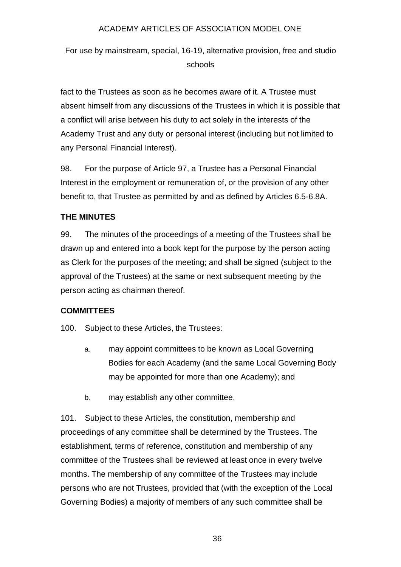For use by mainstream, special, 16-19, alternative provision, free and studio schools

fact to the Trustees as soon as he becomes aware of it. A Trustee must absent himself from any discussions of the Trustees in which it is possible that a conflict will arise between his duty to act solely in the interests of the Academy Trust and any duty or personal interest (including but not limited to any Personal Financial Interest).

98. For the purpose of Article 97, a Trustee has a Personal Financial Interest in the employment or remuneration of, or the provision of any other benefit to, that Trustee as permitted by and as defined by Articles 6.5-6.8A.

# **THE MINUTES**

99. The minutes of the proceedings of a meeting of the Trustees shall be drawn up and entered into a book kept for the purpose by the person acting as Clerk for the purposes of the meeting; and shall be signed (subject to the approval of the Trustees) at the same or next subsequent meeting by the person acting as chairman thereof.

# **COMMITTEES**

100. Subject to these Articles, the Trustees:

- a. may appoint committees to be known as Local Governing Bodies for each Academy (and the same Local Governing Body may be appointed for more than one Academy); and
- b. may establish any other committee.

101. Subject to these Articles, the constitution, membership and proceedings of any committee shall be determined by the Trustees. The establishment, terms of reference, constitution and membership of any committee of the Trustees shall be reviewed at least once in every twelve months. The membership of any committee of the Trustees may include persons who are not Trustees, provided that (with the exception of the Local Governing Bodies) a majority of members of any such committee shall be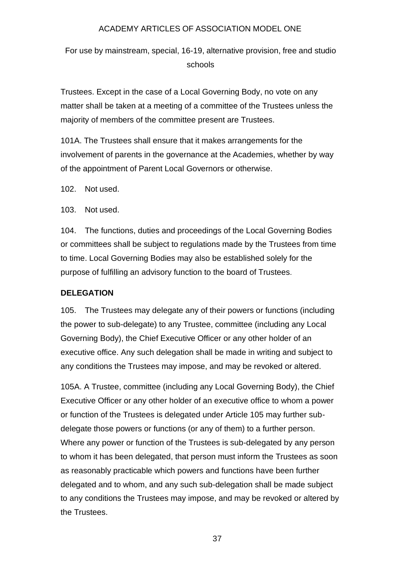For use by mainstream, special, 16-19, alternative provision, free and studio schools

Trustees. Except in the case of a Local Governing Body, no vote on any matter shall be taken at a meeting of a committee of the Trustees unless the majority of members of the committee present are Trustees.

101A. The Trustees shall ensure that it makes arrangements for the involvement of parents in the governance at the Academies, whether by way of the appointment of Parent Local Governors or otherwise.

102. Not used.

103. Not used.

104. The functions, duties and proceedings of the Local Governing Bodies or committees shall be subject to regulations made by the Trustees from time to time. Local Governing Bodies may also be established solely for the purpose of fulfilling an advisory function to the board of Trustees.

#### **DELEGATION**

105. The Trustees may delegate any of their powers or functions (including the power to sub-delegate) to any Trustee, committee (including any Local Governing Body), the Chief Executive Officer or any other holder of an executive office. Any such delegation shall be made in writing and subject to any conditions the Trustees may impose, and may be revoked or altered.

105A. A Trustee, committee (including any Local Governing Body), the Chief Executive Officer or any other holder of an executive office to whom a power or function of the Trustees is delegated under Article 105 may further subdelegate those powers or functions (or any of them) to a further person. Where any power or function of the Trustees is sub-delegated by any person to whom it has been delegated, that person must inform the Trustees as soon as reasonably practicable which powers and functions have been further delegated and to whom, and any such sub-delegation shall be made subject to any conditions the Trustees may impose, and may be revoked or altered by the Trustees.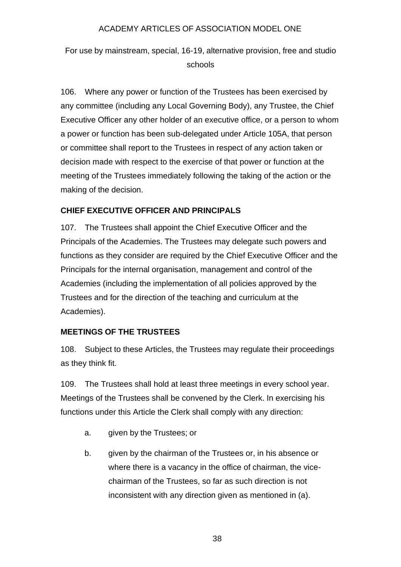For use by mainstream, special, 16-19, alternative provision, free and studio schools

106. Where any power or function of the Trustees has been exercised by any committee (including any Local Governing Body), any Trustee, the Chief Executive Officer any other holder of an executive office, or a person to whom a power or function has been sub-delegated under Article 105A, that person or committee shall report to the Trustees in respect of any action taken or decision made with respect to the exercise of that power or function at the meeting of the Trustees immediately following the taking of the action or the making of the decision.

# **CHIEF EXECUTIVE OFFICER AND PRINCIPALS**

107. The Trustees shall appoint the Chief Executive Officer and the Principals of the Academies. The Trustees may delegate such powers and functions as they consider are required by the Chief Executive Officer and the Principals for the internal organisation, management and control of the Academies (including the implementation of all policies approved by the Trustees and for the direction of the teaching and curriculum at the Academies).

# **MEETINGS OF THE TRUSTEES**

108. Subject to these Articles, the Trustees may regulate their proceedings as they think fit.

109. The Trustees shall hold at least three meetings in every school year. Meetings of the Trustees shall be convened by the Clerk. In exercising his functions under this Article the Clerk shall comply with any direction:

- a. given by the Trustees; or
- b. given by the chairman of the Trustees or, in his absence or where there is a vacancy in the office of chairman, the vicechairman of the Trustees, so far as such direction is not inconsistent with any direction given as mentioned in (a).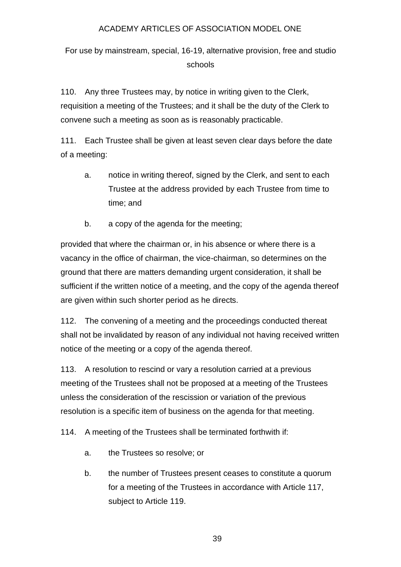For use by mainstream, special, 16-19, alternative provision, free and studio schools

110. Any three Trustees may, by notice in writing given to the Clerk, requisition a meeting of the Trustees; and it shall be the duty of the Clerk to convene such a meeting as soon as is reasonably practicable.

111. Each Trustee shall be given at least seven clear days before the date of a meeting:

- a. notice in writing thereof, signed by the Clerk, and sent to each Trustee at the address provided by each Trustee from time to time; and
- b. a copy of the agenda for the meeting;

provided that where the chairman or, in his absence or where there is a vacancy in the office of chairman, the vice-chairman, so determines on the ground that there are matters demanding urgent consideration, it shall be sufficient if the written notice of a meeting, and the copy of the agenda thereof are given within such shorter period as he directs.

112. The convening of a meeting and the proceedings conducted thereat shall not be invalidated by reason of any individual not having received written notice of the meeting or a copy of the agenda thereof.

113. A resolution to rescind or vary a resolution carried at a previous meeting of the Trustees shall not be proposed at a meeting of the Trustees unless the consideration of the rescission or variation of the previous resolution is a specific item of business on the agenda for that meeting.

114. A meeting of the Trustees shall be terminated forthwith if:

- a. the Trustees so resolve; or
- b. the number of Trustees present ceases to constitute a quorum for a meeting of the Trustees in accordance with Article 117, subject to Article 119.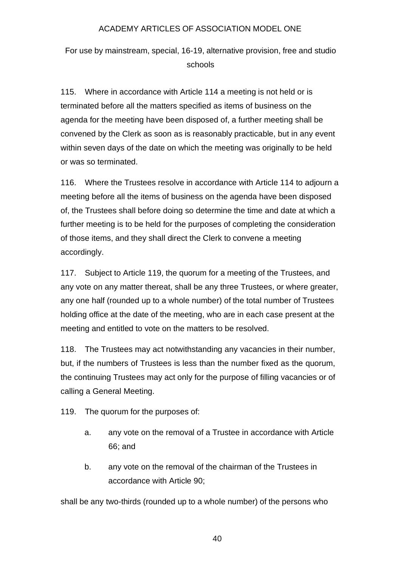For use by mainstream, special, 16-19, alternative provision, free and studio schools

115. Where in accordance with Article 114 a meeting is not held or is terminated before all the matters specified as items of business on the agenda for the meeting have been disposed of, a further meeting shall be convened by the Clerk as soon as is reasonably practicable, but in any event within seven days of the date on which the meeting was originally to be held or was so terminated.

116. Where the Trustees resolve in accordance with Article 114 to adjourn a meeting before all the items of business on the agenda have been disposed of, the Trustees shall before doing so determine the time and date at which a further meeting is to be held for the purposes of completing the consideration of those items, and they shall direct the Clerk to convene a meeting accordingly.

117. Subject to Article 119, the quorum for a meeting of the Trustees, and any vote on any matter thereat, shall be any three Trustees, or where greater, any one half (rounded up to a whole number) of the total number of Trustees holding office at the date of the meeting, who are in each case present at the meeting and entitled to vote on the matters to be resolved.

118. The Trustees may act notwithstanding any vacancies in their number, but, if the numbers of Trustees is less than the number fixed as the quorum, the continuing Trustees may act only for the purpose of filling vacancies or of calling a General Meeting.

119. The quorum for the purposes of:

- a. any vote on the removal of a Trustee in accordance with Article 66; and
- b. any vote on the removal of the chairman of the Trustees in accordance with Article 90;

shall be any two-thirds (rounded up to a whole number) of the persons who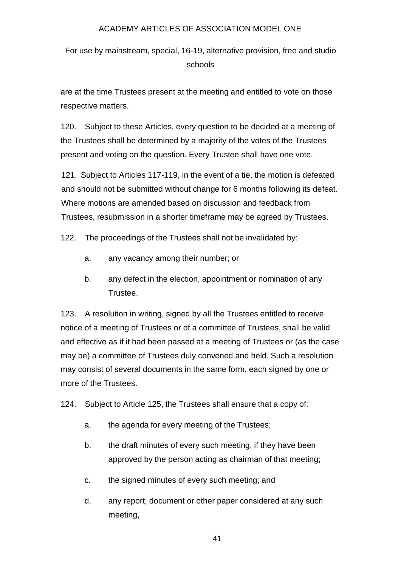For use by mainstream, special, 16-19, alternative provision, free and studio schools

are at the time Trustees present at the meeting and entitled to vote on those respective matters.

120. Subject to these Articles, every question to be decided at a meeting of the Trustees shall be determined by a majority of the votes of the Trustees present and voting on the question. Every Trustee shall have one vote.

121. Subject to Articles 117-119, in the event of a tie, the motion is defeated and should not be submitted without change for 6 months following its defeat. Where motions are amended based on discussion and feedback from Trustees, resubmission in a shorter timeframe may be agreed by Trustees.

122. The proceedings of the Trustees shall not be invalidated by:

- a. any vacancy among their number; or
- b. any defect in the election, appointment or nomination of any Trustee.

123. A resolution in writing, signed by all the Trustees entitled to receive notice of a meeting of Trustees or of a committee of Trustees, shall be valid and effective as if it had been passed at a meeting of Trustees or (as the case may be) a committee of Trustees duly convened and held. Such a resolution may consist of several documents in the same form, each signed by one or more of the Trustees.

124. Subject to Article 125, the Trustees shall ensure that a copy of:

- a. the agenda for every meeting of the Trustees;
- b. the draft minutes of every such meeting, if they have been approved by the person acting as chairman of that meeting;
- c. the signed minutes of every such meeting; and
- d. any report, document or other paper considered at any such meeting,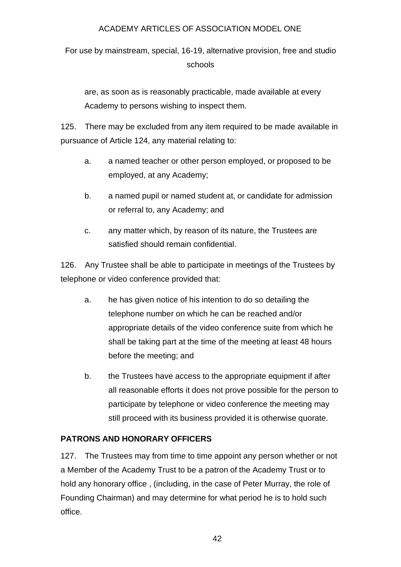For use by mainstream, special, 16-19, alternative provision, free and studio schools

are, as soon as is reasonably practicable, made available at every Academy to persons wishing to inspect them.

125. There may be excluded from any item required to be made available in pursuance of Article 124, any material relating to:

- a. a named teacher or other person employed, or proposed to be employed, at any Academy;
- b. a named pupil or named student at, or candidate for admission or referral to, any Academy; and
- c. any matter which, by reason of its nature, the Trustees are satisfied should remain confidential.

126. Any Trustee shall be able to participate in meetings of the Trustees by telephone or video conference provided that:

- a. he has given notice of his intention to do so detailing the telephone number on which he can be reached and/or appropriate details of the video conference suite from which he shall be taking part at the time of the meeting at least 48 hours before the meeting; and
- b. the Trustees have access to the appropriate equipment if after all reasonable efforts it does not prove possible for the person to participate by telephone or video conference the meeting may still proceed with its business provided it is otherwise quorate.

# **PATRONS AND HONORARY OFFICERS**

127. The Trustees may from time to time appoint any person whether or not a Member of the Academy Trust to be a patron of the Academy Trust or to hold any honorary office , (including, in the case of Peter Murray, the role of Founding Chairman) and may determine for what period he is to hold such office.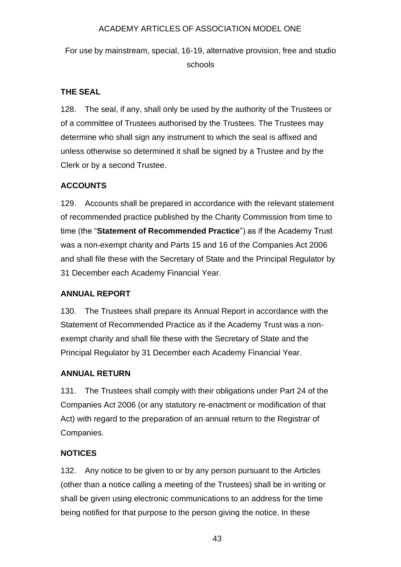For use by mainstream, special, 16-19, alternative provision, free and studio schools

# **THE SEAL**

128. The seal, if any, shall only be used by the authority of the Trustees or of a committee of Trustees authorised by the Trustees. The Trustees may determine who shall sign any instrument to which the seal is affixed and unless otherwise so determined it shall be signed by a Trustee and by the Clerk or by a second Trustee.

# **ACCOUNTS**

129. Accounts shall be prepared in accordance with the relevant statement of recommended practice published by the Charity Commission from time to time (the "**Statement of Recommended Practice**") as if the Academy Trust was a non-exempt charity and Parts 15 and 16 of the Companies Act 2006 and shall file these with the Secretary of State and the Principal Regulator by 31 December each Academy Financial Year.

# **ANNUAL REPORT**

130. The Trustees shall prepare its Annual Report in accordance with the Statement of Recommended Practice as if the Academy Trust was a nonexempt charity and shall file these with the Secretary of State and the Principal Regulator by 31 December each Academy Financial Year.

# **ANNUAL RETURN**

131. The Trustees shall comply with their obligations under Part 24 of the Companies Act 2006 (or any statutory re-enactment or modification of that Act) with regard to the preparation of an annual return to the Registrar of Companies.

# **NOTICES**

132. Any notice to be given to or by any person pursuant to the Articles (other than a notice calling a meeting of the Trustees) shall be in writing or shall be given using electronic communications to an address for the time being notified for that purpose to the person giving the notice. In these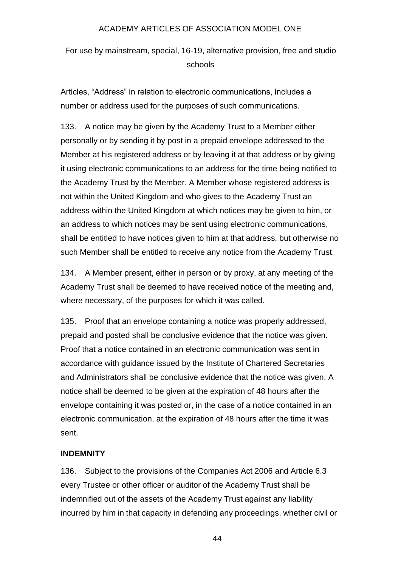For use by mainstream, special, 16-19, alternative provision, free and studio schools

Articles, "Address" in relation to electronic communications, includes a number or address used for the purposes of such communications.

133. A notice may be given by the Academy Trust to a Member either personally or by sending it by post in a prepaid envelope addressed to the Member at his registered address or by leaving it at that address or by giving it using electronic communications to an address for the time being notified to the Academy Trust by the Member. A Member whose registered address is not within the United Kingdom and who gives to the Academy Trust an address within the United Kingdom at which notices may be given to him, or an address to which notices may be sent using electronic communications, shall be entitled to have notices given to him at that address, but otherwise no such Member shall be entitled to receive any notice from the Academy Trust.

134. A Member present, either in person or by proxy, at any meeting of the Academy Trust shall be deemed to have received notice of the meeting and, where necessary, of the purposes for which it was called.

135. Proof that an envelope containing a notice was properly addressed, prepaid and posted shall be conclusive evidence that the notice was given. Proof that a notice contained in an electronic communication was sent in accordance with guidance issued by the Institute of Chartered Secretaries and Administrators shall be conclusive evidence that the notice was given. A notice shall be deemed to be given at the expiration of 48 hours after the envelope containing it was posted or, in the case of a notice contained in an electronic communication, at the expiration of 48 hours after the time it was sent.

#### **INDEMNITY**

136. Subject to the provisions of the Companies Act 2006 and Article 6.3 every Trustee or other officer or auditor of the Academy Trust shall be indemnified out of the assets of the Academy Trust against any liability incurred by him in that capacity in defending any proceedings, whether civil or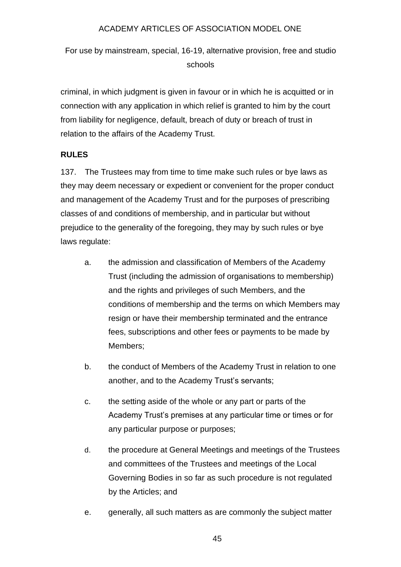For use by mainstream, special, 16-19, alternative provision, free and studio schools

criminal, in which judgment is given in favour or in which he is acquitted or in connection with any application in which relief is granted to him by the court from liability for negligence, default, breach of duty or breach of trust in relation to the affairs of the Academy Trust.

# **RULES**

137. The Trustees may from time to time make such rules or bye laws as they may deem necessary or expedient or convenient for the proper conduct and management of the Academy Trust and for the purposes of prescribing classes of and conditions of membership, and in particular but without prejudice to the generality of the foregoing, they may by such rules or bye laws regulate:

- a. the admission and classification of Members of the Academy Trust (including the admission of organisations to membership) and the rights and privileges of such Members, and the conditions of membership and the terms on which Members may resign or have their membership terminated and the entrance fees, subscriptions and other fees or payments to be made by Members;
- b. the conduct of Members of the Academy Trust in relation to one another, and to the Academy Trust's servants;
- c. the setting aside of the whole or any part or parts of the Academy Trust's premises at any particular time or times or for any particular purpose or purposes;
- d. the procedure at General Meetings and meetings of the Trustees and committees of the Trustees and meetings of the Local Governing Bodies in so far as such procedure is not regulated by the Articles; and
- e. generally, all such matters as are commonly the subject matter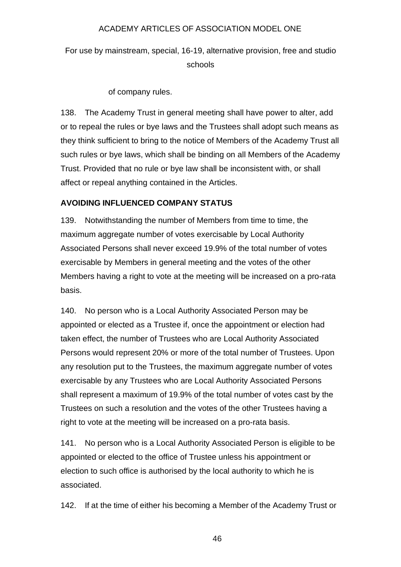For use by mainstream, special, 16-19, alternative provision, free and studio schools

of company rules.

138. The Academy Trust in general meeting shall have power to alter, add or to repeal the rules or bye laws and the Trustees shall adopt such means as they think sufficient to bring to the notice of Members of the Academy Trust all such rules or bye laws, which shall be binding on all Members of the Academy Trust. Provided that no rule or bye law shall be inconsistent with, or shall affect or repeal anything contained in the Articles.

### **AVOIDING INFLUENCED COMPANY STATUS**

139. Notwithstanding the number of Members from time to time, the maximum aggregate number of votes exercisable by Local Authority Associated Persons shall never exceed 19.9% of the total number of votes exercisable by Members in general meeting and the votes of the other Members having a right to vote at the meeting will be increased on a pro-rata basis.

140. No person who is a Local Authority Associated Person may be appointed or elected as a Trustee if, once the appointment or election had taken effect, the number of Trustees who are Local Authority Associated Persons would represent 20% or more of the total number of Trustees. Upon any resolution put to the Trustees, the maximum aggregate number of votes exercisable by any Trustees who are Local Authority Associated Persons shall represent a maximum of 19.9% of the total number of votes cast by the Trustees on such a resolution and the votes of the other Trustees having a right to vote at the meeting will be increased on a pro-rata basis.

141. No person who is a Local Authority Associated Person is eligible to be appointed or elected to the office of Trustee unless his appointment or election to such office is authorised by the local authority to which he is associated.

142. If at the time of either his becoming a Member of the Academy Trust or